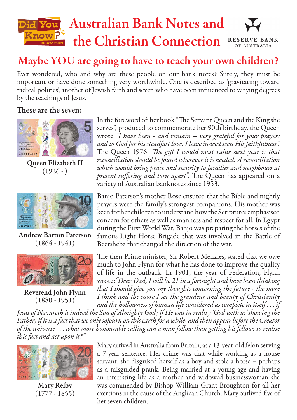

## Maybe YOU are going to have to teach your own children?

Ever wondered, who and why are these people on our bank notes? Surely, they must be important or have done something very worthwhile. One is described as 'gravitating toward radical politics', another of Jewish faith and seven who have been influenced to varying degrees by the teachings of Jesus.

## These are the seven:



Queen Elizabeth II  $(1926 - )$ 



Andrew Barton Paterson  $(1864 - 1941)$ 



Reverend John Flynn (1880 - 1951)

In the foreword of her book "The Servant Queen and the King she serves", produced to commemorate her 90th birthday, the Queen wrote *"I have been - and remain – very grateful for your prayers and to God for his steadfast love. I have indeed seen His faithfulness".* The Queen 1976 *"The gift I would most value next year is that reconciliation should be found wherever it is needed. A reconciliation which would bring peace and security to families and neighbours at present suffering and torn apart".* The Queen has appeared on a variety of Australian banknotes since 1953.

Banjo Paterson's mother Rose ensured that the Bible and nightly prayers were the family's strongest companions. His mother was keen for her children to understand how the Scriptures emphasised concern for others as well as manners and respect for all. In Egypt during the First World War, Banjo was preparing the horses of the famous Light Horse Brigade that was involved in the Battle of Beersheba that changed the direction of the war.

The then Prime minister, Sir Robert Menzies, stated that we owe much to John Flynn for what he has done to improve the quality of life in the outback. In 1901, the year of Federation, Flynn wrote:*"Dear Dad, I will be 21 in a fortnight and have been thinking that I should give you my thoughts concerning the future - the more I think and the more I see the grandeur and beauty of Christianity and the hollowness of human life considered as complete in itself . . . if* 

*Jesus of Nazareth is indeed the Son of Almighty God; if He was in reality 'God with us' showing the Father; if it is a fact that we only sojourn on this earth for a while, and then appear before the Creator of the universe . . . what more honourable calling can a man follow than getting his fellows to realise this fact and act upon it?"*



Mary Reiby (1777 - 1855)

Mary arrived in Australia from Britain, as a 13-year-old felon serving a 7-year sentence. Her crime was that while working as a house servant, she disguised herself as a boy and stole a horse – perhaps as a misguided prank. Being married at a young age and having an interesting life as a mother and widowed businesswoman she was commended by Bishop William Grant Broughton for all her exertions in the cause of the Anglican Church. Mary outlived five of her seven children.